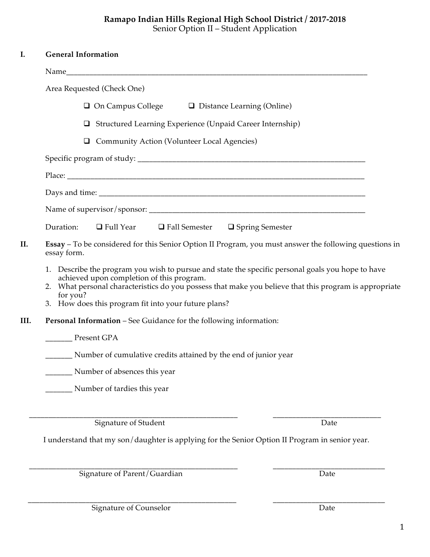## **Ramapo Indian Hills Regional High School District / 2017-2018** Senior Option II – Student Application

|      | <b>General Information</b>                                                                                                                                                                                                                                                                                                   |  |  |
|------|------------------------------------------------------------------------------------------------------------------------------------------------------------------------------------------------------------------------------------------------------------------------------------------------------------------------------|--|--|
|      |                                                                                                                                                                                                                                                                                                                              |  |  |
|      | Area Requested (Check One)                                                                                                                                                                                                                                                                                                   |  |  |
|      | $\Box$ On Campus College $\Box$ Distance Learning (Online)                                                                                                                                                                                                                                                                   |  |  |
|      | Structured Learning Experience (Unpaid Career Internship)<br>⊔                                                                                                                                                                                                                                                               |  |  |
|      | Community Action (Volunteer Local Agencies)                                                                                                                                                                                                                                                                                  |  |  |
|      |                                                                                                                                                                                                                                                                                                                              |  |  |
|      |                                                                                                                                                                                                                                                                                                                              |  |  |
|      |                                                                                                                                                                                                                                                                                                                              |  |  |
|      |                                                                                                                                                                                                                                                                                                                              |  |  |
|      | Duration:<br>$\Box$ Full Year $\Box$ Fall Semester $\Box$ Spring Semester                                                                                                                                                                                                                                                    |  |  |
|      | Essay - To be considered for this Senior Option II Program, you must answer the following questions in<br>essay form.                                                                                                                                                                                                        |  |  |
|      | 1. Describe the program you wish to pursue and state the specific personal goals you hope to have<br>achieved upon completion of this program.<br>2. What personal characteristics do you possess that make you believe that this program is appropriate<br>for you?<br>3. How does this program fit into your future plans? |  |  |
| III. | Personal Information - See Guidance for the following information:                                                                                                                                                                                                                                                           |  |  |
|      | Present GPA                                                                                                                                                                                                                                                                                                                  |  |  |
|      | _________ Number of cumulative credits attained by the end of junior year                                                                                                                                                                                                                                                    |  |  |
|      | Number of absences this year                                                                                                                                                                                                                                                                                                 |  |  |
|      | Number of tardies this year                                                                                                                                                                                                                                                                                                  |  |  |
|      | <b>Signature of Student</b><br>Date                                                                                                                                                                                                                                                                                          |  |  |
|      | I understand that my son/daughter is applying for the Senior Option II Program in senior year.                                                                                                                                                                                                                               |  |  |
|      | Signature of Parent/Guardian<br>Date                                                                                                                                                                                                                                                                                         |  |  |

Signature of Counselor Date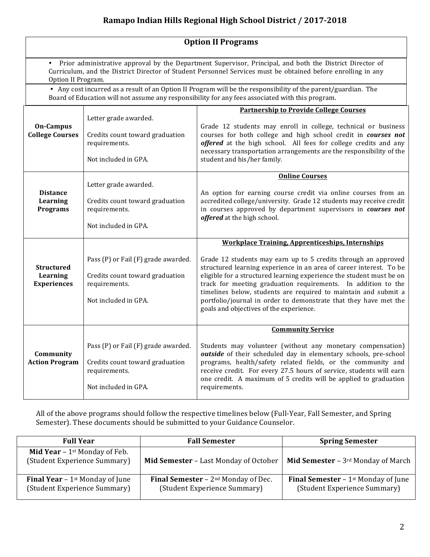## **Ramapo Indian Hills Regional High School District / 2017-2018**

| <b>Option II Programs</b>                      |                                                                                                                                                                                                                                                  |                                                                                                                                                                                                                                                                                                                                                                                                                                                                                                                             |  |  |  |  |  |
|------------------------------------------------|--------------------------------------------------------------------------------------------------------------------------------------------------------------------------------------------------------------------------------------------------|-----------------------------------------------------------------------------------------------------------------------------------------------------------------------------------------------------------------------------------------------------------------------------------------------------------------------------------------------------------------------------------------------------------------------------------------------------------------------------------------------------------------------------|--|--|--|--|--|
|                                                | • Prior administrative approval by the Department Supervisor, Principal, and both the District Director of<br>Curriculum, and the District Director of Student Personnel Services must be obtained before enrolling in any<br>Option II Program. |                                                                                                                                                                                                                                                                                                                                                                                                                                                                                                                             |  |  |  |  |  |
|                                                | • Any cost incurred as a result of an Option II Program will be the responsibility of the parent/guardian. The<br>Board of Education will not assume any responsibility for any fees associated with this program.                               |                                                                                                                                                                                                                                                                                                                                                                                                                                                                                                                             |  |  |  |  |  |
| <b>On-Campus</b><br><b>College Courses</b>     | Letter grade awarded.<br>Credits count toward graduation<br>requirements.<br>Not included in GPA.                                                                                                                                                | <b>Partnership to Provide College Courses</b><br>Grade 12 students may enroll in college, technical or business<br>courses for both college and high school credit in courses not<br>offered at the high school. All fees for college credits and any<br>necessary transportation arrangements are the responsibility of the<br>student and his/her family.                                                                                                                                                                 |  |  |  |  |  |
| <b>Distance</b><br>Learning<br><b>Programs</b> | Letter grade awarded.<br>Credits count toward graduation<br>requirements.<br>Not included in GPA.                                                                                                                                                | <b>Online Courses</b><br>An option for earning course credit via online courses from an<br>accredited college/university. Grade 12 students may receive credit<br>in courses approved by department supervisors in courses not<br>offered at the high school.                                                                                                                                                                                                                                                               |  |  |  |  |  |
| Structured<br>Learning<br><b>Experiences</b>   | Pass (P) or Fail (F) grade awarded.<br>Credits count toward graduation<br>requirements.<br>Not included in GPA.                                                                                                                                  | <b>Workplace Training, Apprenticeships, Internships</b><br>Grade 12 students may earn up to 5 credits through an approved<br>structured learning experience in an area of career interest. To be<br>eligible for a structured learning experience the student must be on<br>track for meeting graduation requirements. In addition to the<br>timelines below, students are required to maintain and submit a<br>portfolio/journal in order to demonstrate that they have met the<br>goals and objectives of the experience. |  |  |  |  |  |
| Community<br><b>Action Program</b>             | Pass (P) or Fail (F) grade awarded.<br>Credits count toward graduation<br>requirements.<br>Not included in GPA.                                                                                                                                  | <b>Community Service</b><br>Students may volunteer (without any monetary compensation)<br>outside of their scheduled day in elementary schools, pre-school<br>programs, health/safety related fields, or the community and<br>receive credit. For every 27.5 hours of service, students will earn<br>one credit. A maximum of 5 credits will be applied to graduation<br>requirements.                                                                                                                                      |  |  |  |  |  |

All of the above programs should follow the respective timelines below (Full-Year, Fall Semester, and Spring Semester). These documents should be submitted to your Guidance Counselor.

| <b>Full Year</b>                                                                   | <b>Fall Semester</b>                                                            | <b>Spring Semester</b>                                                          |
|------------------------------------------------------------------------------------|---------------------------------------------------------------------------------|---------------------------------------------------------------------------------|
| <b>Mid Year</b> – $1$ <sup>st</sup> Monday of Feb.<br>(Student Experience Summary) | Mid Semester - Last Monday of October                                           | Mid Semester - 3rd Monday of March                                              |
| <b>Final Year</b> – 1 <sup>st</sup> Monday of June<br>(Student Experience Summary) | <b>Final Semester</b> – $2^{nd}$ Monday of Dec.<br>(Student Experience Summary) | <b>Final Semester</b> – $1^{st}$ Monday of June<br>(Student Experience Summary) |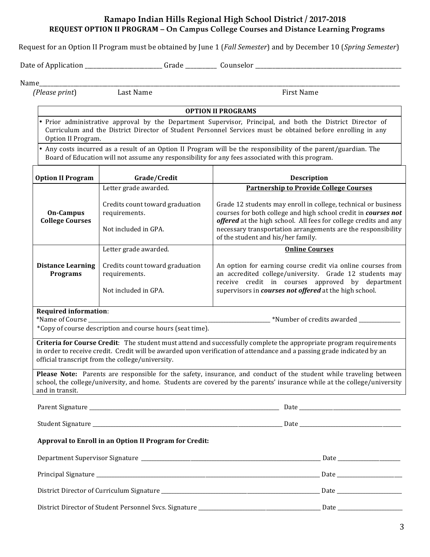## **Ramapo Indian Hills Regional High School District / 2017-2018 REQUEST OPTION II PROGRAM – On Campus College Courses and Distance Learning Programs**

Request for an Option II Program must be obtained by June 1 (*Fall Semester*) and by December 10 (*Spring Semester*)

Date of Application \_\_\_\_\_\_\_\_\_\_\_\_\_\_\_\_\_\_\_\_\_\_\_\_\_\_\_ Grade \_\_\_\_\_\_\_\_\_\_\_ Counselor \_\_\_\_\_\_\_\_\_\_\_\_\_\_\_\_\_\_\_\_\_\_\_\_\_\_\_\_\_\_\_\_\_\_\_\_\_\_\_\_\_\_\_\_\_\_\_\_\_\_\_

Name\_\_\_\_\_\_\_\_\_\_\_\_\_\_\_\_\_\_\_\_\_\_\_\_\_\_\_\_\_\_\_\_\_\_\_\_\_\_\_\_\_\_\_\_\_\_\_\_\_\_\_\_\_\_\_\_\_\_\_\_\_\_\_\_\_\_\_\_\_\_\_\_\_\_\_\_\_\_\_\_\_\_\_\_\_\_\_\_\_\_\_\_\_\_\_\_\_\_\_\_\_\_\_\_\_\_\_\_\_\_\_\_\_\_\_\_\_\_\_\_\_\_\_\_\_\_

*(Please print*) Last Name First Name 

**OPTION II PROGRAMS** 

Prior administrative approval by the Department Supervisor, Principal, and both the District Director of Curriculum and the District Director of Student Personnel Services must be obtained before enrolling in any Option II Program.

Any costs incurred as a result of an Option II Program will be the responsibility of the parent/guardian. The Board of Education will not assume any responsibility for any fees associated with this program.

| <b>Option II Program</b>                        | Grade/Credit                                                             | <b>Description</b>                                                                                                                                                                                                                                                                                         |  |
|-------------------------------------------------|--------------------------------------------------------------------------|------------------------------------------------------------------------------------------------------------------------------------------------------------------------------------------------------------------------------------------------------------------------------------------------------------|--|
|                                                 | Letter grade awarded.                                                    | <b>Partnership to Provide College Courses</b>                                                                                                                                                                                                                                                              |  |
| On-Campus<br><b>College Courses</b>             | Credits count toward graduation<br>requirements.<br>Not included in GPA. | Grade 12 students may enroll in college, technical or business<br>courses for both college and high school credit in courses not<br>offered at the high school. All fees for college credits and any<br>necessary transportation arrangements are the responsibility<br>of the student and his/her family. |  |
|                                                 | Letter grade awarded.                                                    | <b>Online Courses</b>                                                                                                                                                                                                                                                                                      |  |
| <b>Distance Learning</b><br><b>Programs</b>     | Credits count toward graduation<br>requirements.<br>Not included in GPA. | An option for earning course credit via online courses from<br>an accredited college/university. Grade 12 students may<br>receive credit in courses approved by department<br>supervisors in courses not offered at the high school.                                                                       |  |
|                                                 |                                                                          |                                                                                                                                                                                                                                                                                                            |  |
| <b>Required information:</b><br>*Name of Course |                                                                          | *Number of credits awarded                                                                                                                                                                                                                                                                                 |  |

\*Copy of course description and course hours (seat time).

**Criteria for Course Credit**: The student must attend and successfully complete the appropriate program requirements in order to receive credit. Credit will be awarded upon verification of attendance and a passing grade indicated by an official transcript from the college/university.

**Please Note:** Parents are responsible for the safety, insurance, and conduct of the student while traveling between school, the college/university, and home. Students are covered by the parents' insurance while at the college/university and in transit.

Parent Signature **Example 2** and the set of the set of the set of the set of the set of the set of the set of the set of the set of the set of the set of the set of the set of the set of the set of the set of the set of th

 Student Signature \_\_\_\_\_\_\_\_\_\_\_\_\_\_\_\_\_\_\_\_\_\_\_\_\_\_\_\_\_\_\_\_\_\_\_\_\_\_\_\_\_\_\_\_\_\_\_\_\_\_\_\_\_\_\_\_\_\_\_\_\_\_\_\_\_\_\_\_\_\_\_\_\_ Date \_\_\_\_\_\_\_\_\_\_\_\_\_\_\_\_\_\_\_\_\_\_\_\_\_\_\_\_\_\_\_\_\_\_\_\_\_\_\_

## Approval to Enroll in an Option II Program for Credit:

| Department Supervisor Signature                                                  | Date |
|----------------------------------------------------------------------------------|------|
|                                                                                  | Date |
|                                                                                  | Date |
| District Director of Student Personnel Svcs. Signature _________________________ | Date |